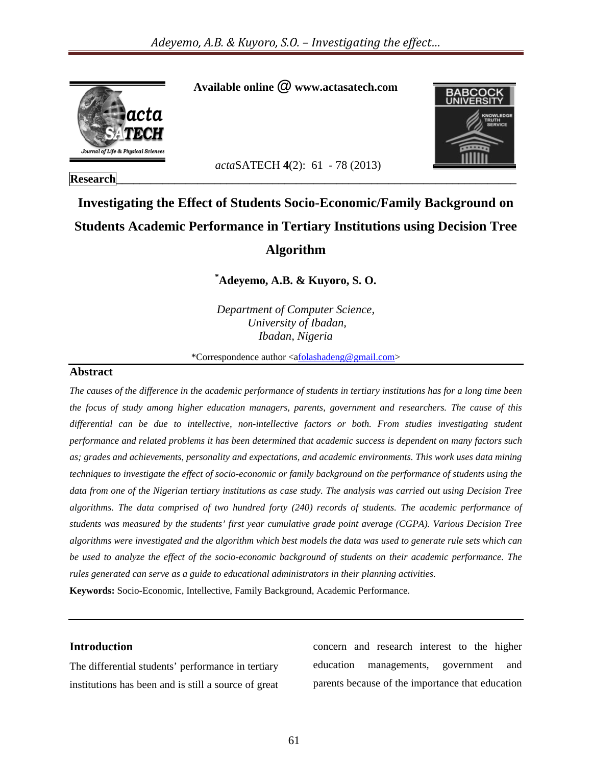

#### **Research\_\_\_\_\_\_\_\_\_\_\_\_\_\_\_\_\_\_\_\_\_\_\_\_\_\_\_\_\_\_\_\_\_\_\_\_\_\_\_\_\_\_\_\_\_\_\_\_\_\_\_\_\_\_\_\_\_\_\_\_\_\_\_\_\_\_\_\_\_**

 **Available online @ www.actasatech.com** 



 *acta*SATECH **4**(2): 61 - 78 (2013)

## **Investigating the Effect of Students Socio-Economic/Family Background on Students Academic Performance in Tertiary Institutions using Decision Tree Algorithm**

**\* Adeyemo, A.B. & Kuyoro, S. O.** 

*Department of Computer Science, University of Ibadan, Ibadan, Nigeria* 

\*Correspondence author <afolashadeng@gmail.com>

#### **Abstract**

*The causes of the difference in the academic performance of students in tertiary institutions has for a long time been the focus of study among higher education managers, parents, government and researchers. The cause of this differential can be due to intellective, non-intellective factors or both. From studies investigating student performance and related problems it has been determined that academic success is dependent on many factors such as; grades and achievements, personality and expectations, and academic environments. This work uses data mining techniques to investigate the effect of socio-economic or family background on the performance of students using the data from one of the Nigerian tertiary institutions as case study. The analysis was carried out using Decision Tree algorithms. The data comprised of two hundred forty (240) records of students. The academic performance of students was measured by the students' first year cumulative grade point average (CGPA). Various Decision Tree algorithms were investigated and the algorithm which best models the data was used to generate rule sets which can be used to analyze the effect of the socio-economic background of students on their academic performance. The rules generated can serve as a guide to educational administrators in their planning activities.* 

**Keywords:** Socio-Economic, Intellective, Family Background, Academic Performance.

#### **Introduction**

The differential students' performance in tertiary institutions has been and is still a source of great

concern and research interest to the higher education managements, government and parents because of the importance that education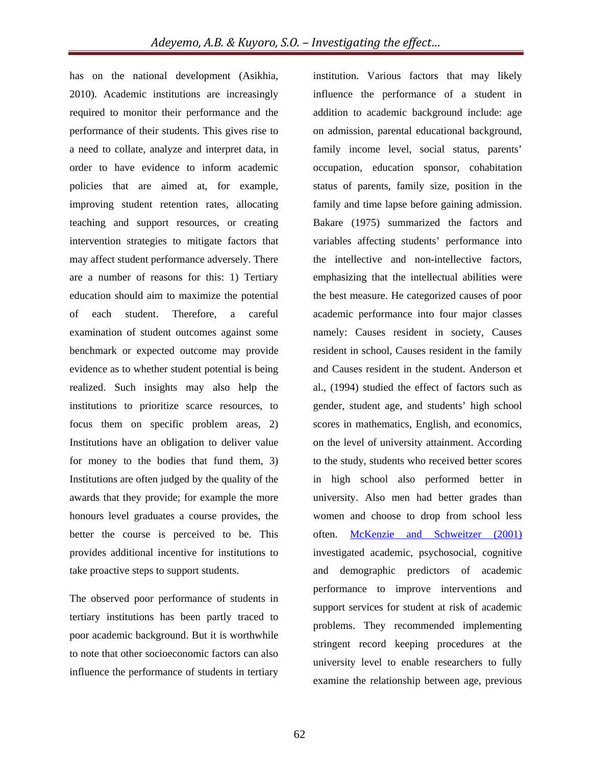has on the national development (Asikhia, 2010). Academic institutions are increasingly required to monitor their performance and the performance of their students. This gives rise to a need to collate, analyze and interpret data, in order to have evidence to inform academic policies that are aimed at, for example, improving student retention rates, allocating teaching and support resources, or creating intervention strategies to mitigate factors that may affect student performance adversely. There are a number of reasons for this: 1) Tertiary education should aim to maximize the potential of each student. Therefore, a careful examination of student outcomes against some benchmark or expected outcome may provide evidence as to whether student potential is being realized. Such insights may also help the institutions to prioritize scarce resources, to focus them on specific problem areas, 2) Institutions have an obligation to deliver value for money to the bodies that fund them, 3) Institutions are often judged by the quality of the awards that they provide; for example the more honours level graduates a course provides, the better the course is perceived to be. This provides additional incentive for institutions to take proactive steps to support students.

The observed poor performance of students in tertiary institutions has been partly traced to poor academic background. But it is worthwhile to note that other socioeconomic factors can also influence the performance of students in tertiary

institution. Various factors that may likely influence the performance of a student in addition to academic background include: age on admission, parental educational background, family income level, social status, parents' occupation, education sponsor, cohabitation status of parents, family size, position in the family and time lapse before gaining admission. Bakare (1975) summarized the factors and variables affecting students' performance into the intellective and non-intellective factors, emphasizing that the intellectual abilities were the best measure. He categorized causes of poor academic performance into four major classes namely: Causes resident in society, Causes resident in school, Causes resident in the family and Causes resident in the student. Anderson et al., (1994) studied the effect of factors such as gender, student age, and students' high school scores in mathematics, English, and economics, on the level of university attainment. According to the study, students who received better scores in high school also performed better in university. Also men had better grades than women and choose to drop from school less often. McKenzie and Schweitzer (2001) investigated academic, psychosocial, cognitive and demographic predictors of academic performance to improve interventions and support services for student at risk of academic problems. They recommended implementing stringent record keeping procedures at the university level to enable researchers to fully examine the relationship between age, previous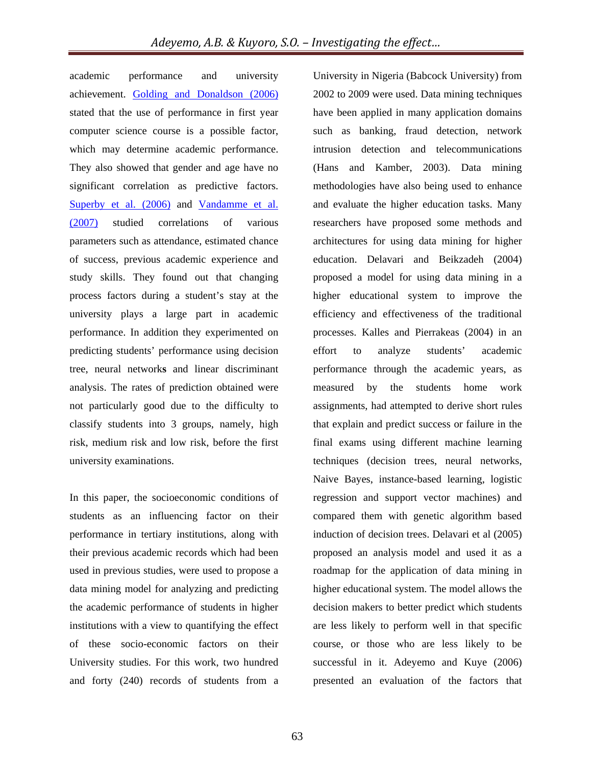academic performance and university achievement. Golding and Donaldson (2006) stated that the use of performance in first year computer science course is a possible factor, which may determine academic performance. They also showed that gender and age have no significant correlation as predictive factors. Superby et al. (2006) and Vandamme et al. (2007) studied correlations of various parameters such as attendance, estimated chance of success, previous academic experience and study skills. They found out that changing process factors during a student's stay at the university plays a large part in academic performance. In addition they experimented on predicting students' performance using decision tree, neural network**s** and linear discriminant analysis. The rates of prediction obtained were not particularly good due to the difficulty to classify students into 3 groups, namely, high risk, medium risk and low risk, before the first university examinations.

In this paper, the socioeconomic conditions of students as an influencing factor on their performance in tertiary institutions, along with their previous academic records which had been used in previous studies, were used to propose a data mining model for analyzing and predicting the academic performance of students in higher institutions with a view to quantifying the effect of these socio-economic factors on their University studies. For this work, two hundred and forty (240) records of students from a

University in Nigeria (Babcock University) from 2002 to 2009 were used. Data mining techniques have been applied in many application domains such as banking, fraud detection, network intrusion detection and telecommunications (Hans and Kamber, 2003). Data mining methodologies have also being used to enhance and evaluate the higher education tasks. Many researchers have proposed some methods and architectures for using data mining for higher education. Delavari and Beikzadeh (2004) proposed a model for using data mining in a higher educational system to improve the efficiency and effectiveness of the traditional processes. Kalles and Pierrakeas (2004) in an effort to analyze students' academic performance through the academic years, as measured by the students home work assignments, had attempted to derive short rules that explain and predict success or failure in the final exams using different machine learning techniques (decision trees, neural networks, Naive Bayes, instance-based learning, logistic regression and support vector machines) and compared them with genetic algorithm based induction of decision trees. Delavari et al (2005) proposed an analysis model and used it as a roadmap for the application of data mining in higher educational system. The model allows the decision makers to better predict which students are less likely to perform well in that specific course, or those who are less likely to be successful in it. Adeyemo and Kuye (2006) presented an evaluation of the factors that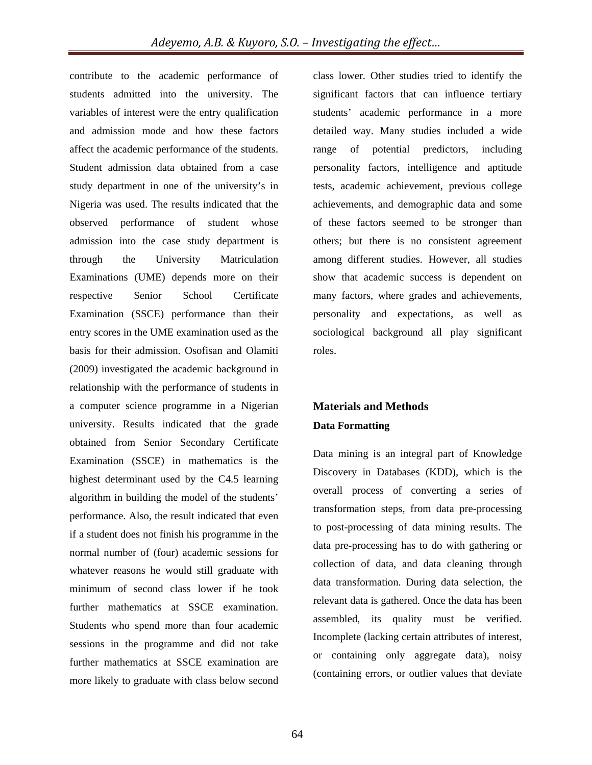contribute to the academic performance of students admitted into the university. The variables of interest were the entry qualification and admission mode and how these factors affect the academic performance of the students. Student admission data obtained from a case study department in one of the university's in Nigeria was used. The results indicated that the observed performance of student whose admission into the case study department is through the University Matriculation Examinations (UME) depends more on their respective Senior School Certificate Examination (SSCE) performance than their entry scores in the UME examination used as the basis for their admission. Osofisan and Olamiti (2009) investigated the academic background in relationship with the performance of students in a computer science programme in a Nigerian university. Results indicated that the grade obtained from Senior Secondary Certificate Examination (SSCE) in mathematics is the highest determinant used by the C4.5 learning algorithm in building the model of the students' performance. Also, the result indicated that even if a student does not finish his programme in the normal number of (four) academic sessions for whatever reasons he would still graduate with minimum of second class lower if he took further mathematics at SSCE examination. Students who spend more than four academic sessions in the programme and did not take further mathematics at SSCE examination are more likely to graduate with class below second

class lower. Other studies tried to identify the significant factors that can influence tertiary students' academic performance in a more detailed way. Many studies included a wide range of potential predictors, including personality factors, intelligence and aptitude tests, academic achievement, previous college achievements, and demographic data and some of these factors seemed to be stronger than others; but there is no consistent agreement among different studies. However, all studies show that academic success is dependent on many factors, where grades and achievements, personality and expectations, as well as sociological background all play significant roles.

### **Materials and Methods Data Formatting**

Data mining is an integral part of Knowledge Discovery in Databases (KDD), which is the overall process of converting a series of transformation steps, from data pre-processing to post-processing of data mining results. The data pre-processing has to do with gathering or collection of data, and data cleaning through data transformation. During data selection, the relevant data is gathered. Once the data has been assembled, its quality must be verified. Incomplete (lacking certain attributes of interest, or containing only aggregate data), noisy (containing errors, or outlier values that deviate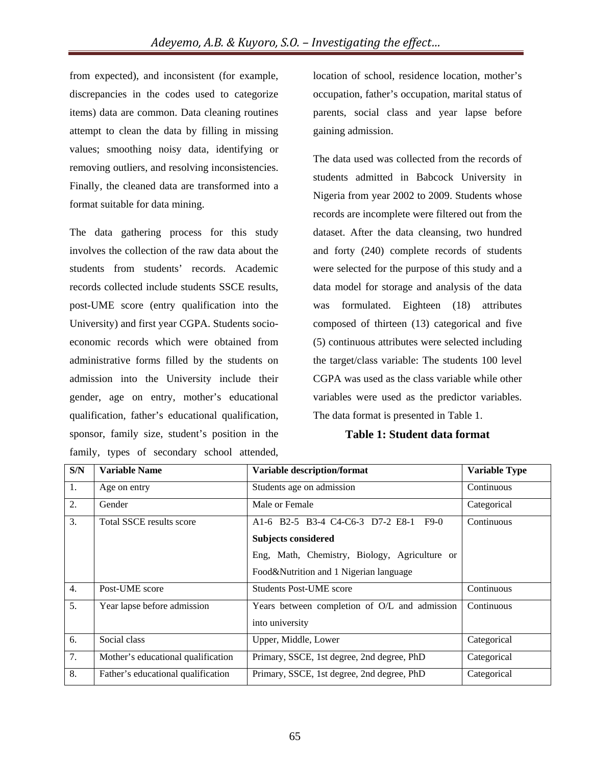from expected), and inconsistent (for example, discrepancies in the codes used to categorize items) data are common. Data cleaning routines attempt to clean the data by filling in missing values; smoothing noisy data, identifying or removing outliers, and resolving inconsistencies. Finally, the cleaned data are transformed into a format suitable for data mining.

The data gathering process for this study involves the collection of the raw data about the students from students' records. Academic records collected include students SSCE results, post-UME score (entry qualification into the University) and first year CGPA. Students socioeconomic records which were obtained from administrative forms filled by the students on admission into the University include their gender, age on entry, mother's educational qualification, father's educational qualification, sponsor, family size, student's position in the family, types of secondary school attended,

location of school, residence location, mother's occupation, father's occupation, marital status of parents, social class and year lapse before gaining admission.

The data used was collected from the records of students admitted in Babcock University in Nigeria from year 2002 to 2009. Students whose records are incomplete were filtered out from the dataset. After the data cleansing, two hundred and forty (240) complete records of students were selected for the purpose of this study and a data model for storage and analysis of the data was formulated. Eighteen (18) attributes composed of thirteen (13) categorical and five (5) continuous attributes were selected including the target/class variable: The students 100 level CGPA was used as the class variable while other variables were used as the predictor variables. The data format is presented in Table 1.

#### **Table 1: Student data format**

| S/N | <b>Variable Name</b>               | Variable description/format                   | <b>Variable Type</b> |
|-----|------------------------------------|-----------------------------------------------|----------------------|
| 1.  | Age on entry                       | Students age on admission                     | Continuous           |
| 2.  | Gender                             | Male or Female                                | Categorical          |
| 3.  | Total SSCE results score           | A1-6 B2-5 B3-4 C4-C6-3 D7-2 E8-1 F9-0         | Continuous           |
|     |                                    | <b>Subjects considered</b>                    |                      |
|     |                                    | Eng, Math, Chemistry, Biology, Agriculture or |                      |
|     |                                    | Food&Nutrition and 1 Nigerian language        |                      |
| 4.  | Post-UME score                     | <b>Students Post-UME score</b>                | Continuous           |
| 5.  | Year lapse before admission        | Years between completion of O/L and admission | Continuous           |
|     |                                    | into university                               |                      |
| 6.  | Social class                       | Upper, Middle, Lower                          | Categorical          |
| 7.  | Mother's educational qualification | Primary, SSCE, 1st degree, 2nd degree, PhD    | Categorical          |
| 8.  | Father's educational qualification | Primary, SSCE, 1st degree, 2nd degree, PhD    | Categorical          |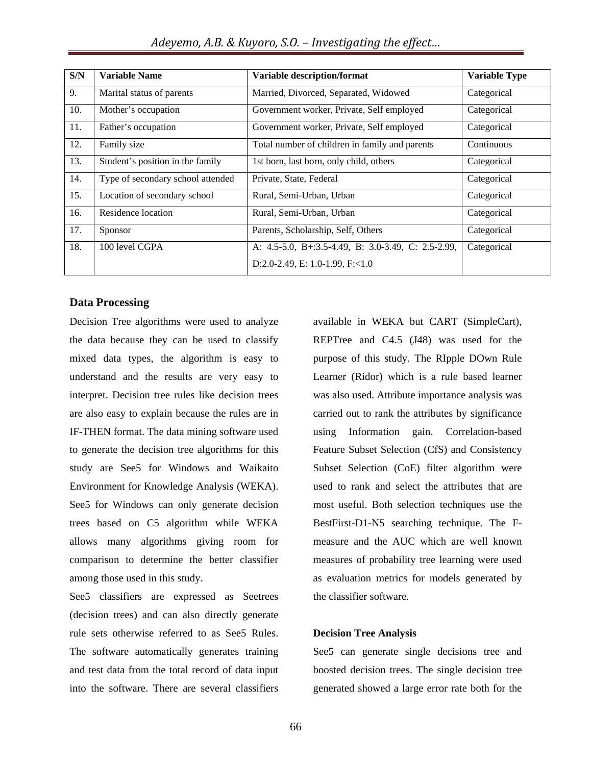| S/N | <b>Variable Name</b>              | Variable description/format                        | <b>Variable Type</b> |
|-----|-----------------------------------|----------------------------------------------------|----------------------|
| 9.  | Marital status of parents         | Married, Divorced, Separated, Widowed              | Categorical          |
| 10. | Mother's occupation               | Government worker, Private, Self employed          | Categorical          |
| 11. | Father's occupation               | Government worker, Private, Self employed          | Categorical          |
| 12. | Family size                       | Total number of children in family and parents     | Continuous           |
| 13. | Student's position in the family  | 1st born, last born, only child, others            | Categorical          |
| 14. | Type of secondary school attended | Private, State, Federal                            | Categorical          |
| 15. | Location of secondary school      | Rural, Semi-Urban, Urban                           | Categorical          |
| 16. | Residence location                | Rural, Semi-Urban, Urban                           | Categorical          |
| 17. | Sponsor                           | Parents, Scholarship, Self, Others                 | Categorical          |
| 18. | 100 level CGPA                    | A: 4.5-5.0, B+:3.5-4.49, B: 3.0-3.49, C: 2.5-2.99, | Categorical          |
|     |                                   | D:2.0-2.49, E: 1.0-1.99, F: < 1.0                  |                      |

#### **Data Processing**

Decision Tree algorithms were used to analyze the data because they can be used to classify mixed data types, the algorithm is easy to understand and the results are very easy to interpret. Decision tree rules like decision trees are also easy to explain because the rules are in IF-THEN format. The data mining software used to generate the decision tree algorithms for this study are See5 for Windows and Waikaito Environment for Knowledge Analysis (WEKA). See5 for Windows can only generate decision trees based on C5 algorithm while WEKA allows many algorithms giving room for comparison to determine the better classifier among those used in this study.

See5 classifiers are expressed as Seetrees (decision trees) and can also directly generate rule sets otherwise referred to as See5 Rules. The software automatically generates training and test data from the total record of data input into the software. There are several classifiers

available in WEKA but CART (SimpleCart), REPTree and C4.5 (J48) was used for the purpose of this study. The RIpple DOwn Rule Learner (Ridor) which is a rule based learner was also used. Attribute importance analysis was carried out to rank the attributes by significance using Information gain. Correlation-based Feature Subset Selection (CfS) and Consistency Subset Selection (CoE) filter algorithm were used to rank and select the attributes that are most useful. Both selection techniques use the BestFirst-D1-N5 searching technique. The Fmeasure and the AUC which are well known measures of probability tree learning were used as evaluation metrics for models generated by the classifier software.

#### **Decision Tree Analysis**

See5 can generate single decisions tree and boosted decision trees. The single decision tree generated showed a large error rate both for the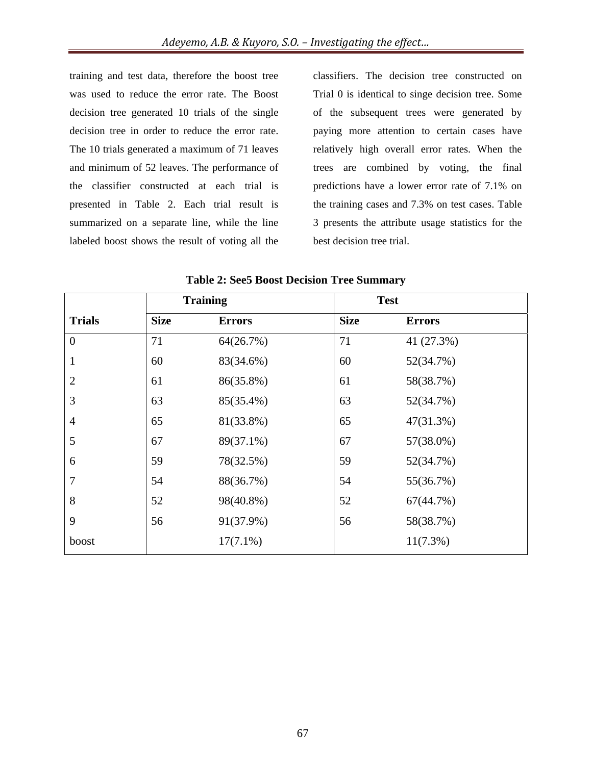training and test data, therefore the boost tree was used to reduce the error rate. The Boost decision tree generated 10 trials of the single decision tree in order to reduce the error rate. The 10 trials generated a maximum of 71 leaves and minimum of 52 leaves. The performance of the classifier constructed at each trial is presented in Table 2. Each trial result is summarized on a separate line, while the line labeled boost shows the result of voting all the

classifiers. The decision tree constructed on Trial 0 is identical to singe decision tree. Some of the subsequent trees were generated by paying more attention to certain cases have relatively high overall error rates. When the trees are combined by voting, the final predictions have a lower error rate of 7.1% on the training cases and 7.3% on test cases. Table 3 presents the attribute usage statistics for the best decision tree trial.

|                | <b>Training</b> |               | <b>Test</b> |               |
|----------------|-----------------|---------------|-------------|---------------|
| <b>Trials</b>  | <b>Size</b>     | <b>Errors</b> | <b>Size</b> | <b>Errors</b> |
| $\overline{0}$ | 71              | 64(26.7%)     | 71          | 41 (27.3%)    |
| 1              | 60              | 83(34.6%)     | 60          | 52(34.7%)     |
| $\overline{2}$ | 61              | 86(35.8%)     | 61          | 58(38.7%)     |
| 3              | 63              | 85(35.4%)     | 63          | 52(34.7%)     |
| $\overline{4}$ | 65              | 81(33.8%)     | 65          | 47(31.3%)     |
| 5              | 67              | 89(37.1%)     | 67          | 57(38.0%)     |
| 6              | 59              | 78(32.5%)     | 59          | 52(34.7%)     |
| 7              | 54              | 88(36.7%)     | 54          | 55(36.7%)     |
| 8              | 52              | 98(40.8%)     | 52          | 67(44.7%)     |
| 9              | 56              | 91(37.9%)     | 56          | 58(38.7%)     |
| boost          |                 | $17(7.1\%)$   |             | $11(7.3\%)$   |

**Table 2: See5 Boost Decision Tree Summary**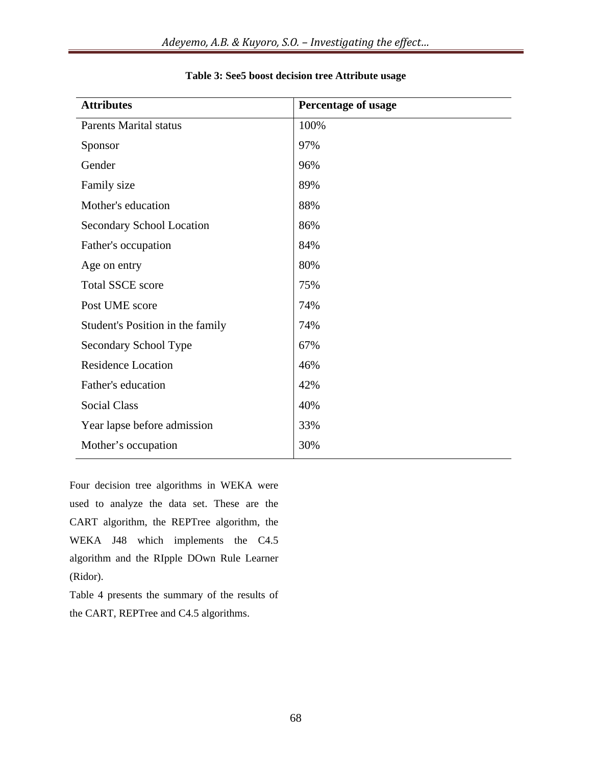| <b>Attributes</b>                | <b>Percentage of usage</b> |
|----------------------------------|----------------------------|
| <b>Parents Marital status</b>    | 100%                       |
| Sponsor                          | 97%                        |
| Gender                           | 96%                        |
| Family size                      | 89%                        |
| Mother's education               | 88%                        |
| <b>Secondary School Location</b> | 86%                        |
| Father's occupation              | 84%                        |
| Age on entry                     | 80%                        |
| <b>Total SSCE score</b>          | 75%                        |
| Post UME score                   | 74%                        |
| Student's Position in the family | 74%                        |
| Secondary School Type            | 67%                        |
| <b>Residence Location</b>        | 46%                        |
| Father's education               | 42%                        |
| <b>Social Class</b>              | 40%                        |
| Year lapse before admission      | 33%                        |
| Mother's occupation              | 30%                        |

#### **Table 3: See5 boost decision tree Attribute usage**

Four decision tree algorithms in WEKA were used to analyze the data set. These are the CART algorithm, the REPTree algorithm, the WEKA J48 which implements the C4.5 algorithm and the RIpple DOwn Rule Learner (Ridor).

Table 4 presents the summary of the results of the CART, REPTree and C4.5 algorithms.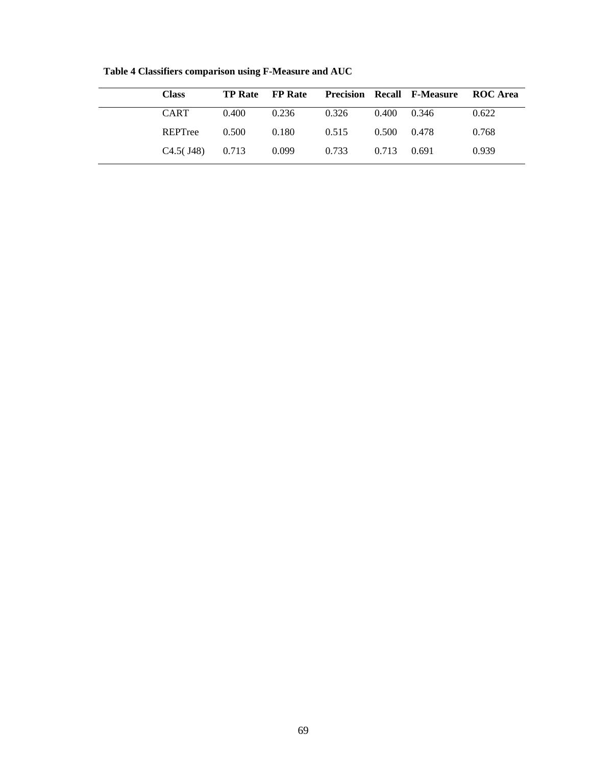| <b>Class</b> | <b>TP Rate</b> FP Rate |       |       |       | <b>Precision Recall F-Measure ROC Area</b> |       |
|--------------|------------------------|-------|-------|-------|--------------------------------------------|-------|
| <b>CART</b>  | 0.400                  | 0.236 | 0.326 | 0.400 | 0.346                                      | 0.622 |
| REPTree      | 0.500                  | 0.180 | 0.515 | 0.500 | 0.478                                      | 0.768 |
| $C4.5($ J48) | 0.713                  | 0.099 | 0.733 | 0.713 | 0.691                                      | 0.939 |

**Table 4 Classifiers comparison using F-Measure and AUC**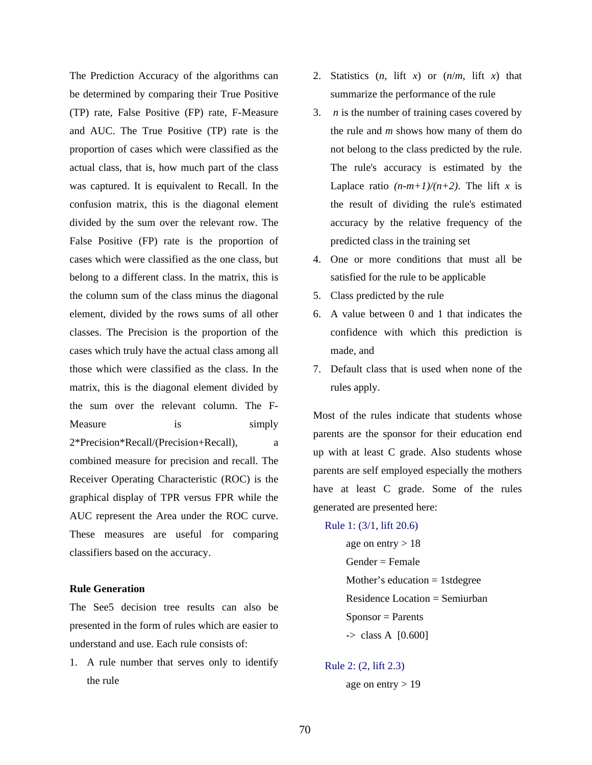The Prediction Accuracy of the algorithms can be determined by comparing their True Positive (TP) rate, False Positive (FP) rate, F-Measure and AUC. The True Positive (TP) rate is the proportion of cases which were classified as the actual class, that is, how much part of the class was captured. It is equivalent to Recall. In the confusion matrix, this is the diagonal element divided by the sum over the relevant row. The False Positive (FP) rate is the proportion of cases which were classified as the one class, but belong to a different class. In the matrix, this is the column sum of the class minus the diagonal element, divided by the rows sums of all other classes. The Precision is the proportion of the cases which truly have the actual class among all those which were classified as the class. In the matrix, this is the diagonal element divided by the sum over the relevant column. The F-Measure is is simply 2\*Precision\*Recall/(Precision+Recall), a combined measure for precision and recall. The Receiver Operating Characteristic (ROC) is the graphical display of TPR versus FPR while the AUC represent the Area under the ROC curve. These measures are useful for comparing classifiers based on the accuracy.

#### **Rule Generation**

The See5 decision tree results can also be presented in the form of rules which are easier to understand and use. Each rule consists of:

1. A rule number that serves only to identify the rule

- 2. Statistics  $(n, \text{lift } x)$  or  $(n/m, \text{lift } x)$  that summarize the performance of the rule
- 3. *n* is the number of training cases covered by the rule and *m* shows how many of them do not belong to the class predicted by the rule. The rule's accuracy is estimated by the Laplace ratio  $(n-m+1)/(n+2)$ . The lift *x* is the result of dividing the rule's estimated accuracy by the relative frequency of the predicted class in the training set
- 4. One or more conditions that must all be satisfied for the rule to be applicable
- 5. Class predicted by the rule
- 6. A value between 0 and 1 that indicates the confidence with which this prediction is made, and
- 7. Default class that is used when none of the rules apply.

Most of the rules indicate that students whose parents are the sponsor for their education end up with at least C grade. Also students whose parents are self employed especially the mothers have at least C grade. Some of the rules generated are presented here:

Rule 1: (3/1, lift 20.6)

age on entry  $> 18$  Gender = Female Mother's education  $= 1$  stdegree Residence Location = Semiurban  $S_{\text{PON}SOr} =$  Parents  $\rightarrow$  class A  $[0.600]$ 

Rule 2: (2, lift 2.3)

age on entry  $> 19$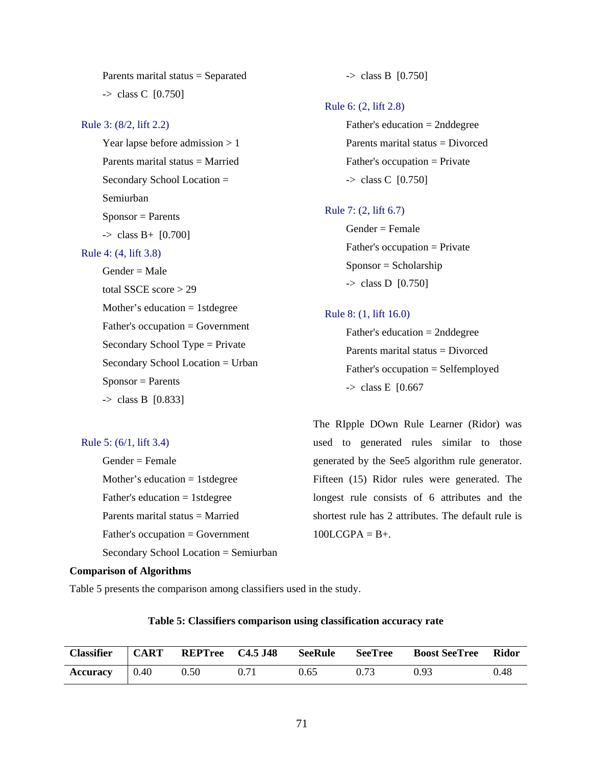Parents marital status = Separated -> class C [0.750] Rule 3: (8/2, lift 2.2) Year lapse before admission > 1 Parents marital status = Married Secondary School Location = Semiurban  $S_{\text{PON}S} =$  Parents  $\Rightarrow$  class B+ [0.700] Rule 4: (4, lift 3.8)  $Gender = Male$  total SSCE score > 29 Mother's education  $= 1$  stdegree Father's occupation = Government Secondary School Type = Private Secondary School Location = Urban  $S_{\text{ponsor}} =$  Parents  $\Rightarrow$  class B [0.833]

#### Rule 5: (6/1, lift 3.4)

 Gender = Female Mother's education  $= 1$  stdegree Father's education  $= 1$  stdegree Parents marital status = Married Father's occupation = Government Secondary School Location = Semiurban

#### **Comparison of Algorithms**

Table 5 presents the comparison among classifiers used in the study.

| <b>Classifier</b>                   | $\overline{\text{CART}}$ | REPTree C4.5 J48 |      | SeeRule | SeeTree | <b>Boost SeeTree</b> | <b>Ridor</b> |
|-------------------------------------|--------------------------|------------------|------|---------|---------|----------------------|--------------|
| $\textbf{Accuracy} \quad   \; 0.40$ |                          | 0.50             | 0.71 | 0.65    | 0.73    | 0.93                 | 0.48         |

#### **Table 5: Classifiers comparison using classification accuracy rate**

The RIpple DOwn Rule Learner (Ridor) was used to generated rules similar to those generated by the See5 algorithm rule generator. Fifteen (15) Ridor rules were generated. The longest rule consists of 6 attributes and the shortest rule has 2 attributes. The default rule is  $100LCGPA = B+$ .

#### Rule 8: (1, lift 16.0)

 Father's education = 2nddegree Parents marital status = Divorced Father's occupation = Selfemployed  $\rightarrow$  class E [0.667]

# $\rightarrow$  class D [0.750]

 Father's education = 2nddegree Parents marital status = Divorced Father's occupation = Private

-> class C [0.750]

 $\rightarrow$  class B [0.750]

Rule 6: (2, lift 2.8)

#### Rule 7: (2, lift 6.7)

 Gender = Female  $Father's occupation = Private$ Sponsor = Scholarship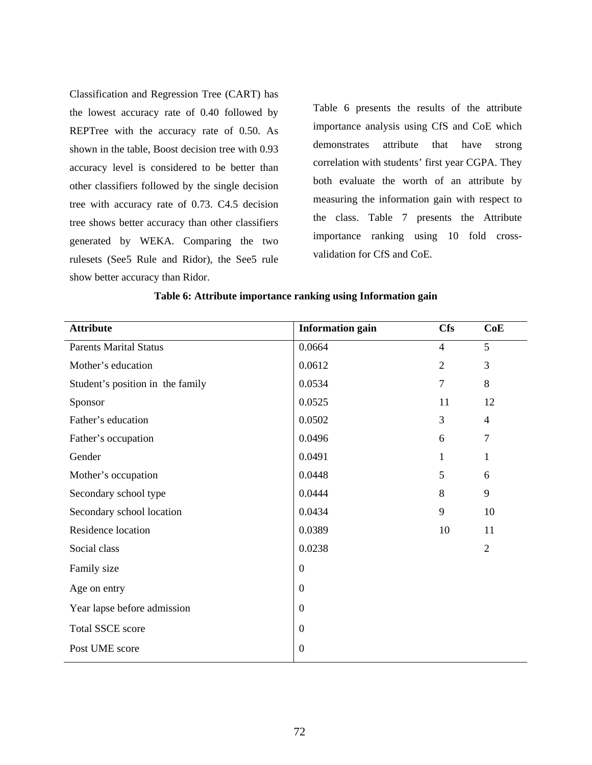Classification and Regression Tree (CART) has the lowest accuracy rate of 0.40 followed by REPTree with the accuracy rate of 0.50. As shown in the table, Boost decision tree with 0.93 accuracy level is considered to be better than other classifiers followed by the single decision tree with accuracy rate of 0.73. C4.5 decision tree shows better accuracy than other classifiers generated by WEKA. Comparing the two rulesets (See5 Rule and Ridor), the See5 rule show better accuracy than Ridor.

Table 6 presents the results of the attribute importance analysis using CfS and CoE which demonstrates attribute that have strong correlation with students' first year CGPA. They both evaluate the worth of an attribute by measuring the information gain with respect to the class. Table 7 presents the Attribute importance ranking using 10 fold crossvalidation for CfS and CoE.

| <b>Attribute</b>                 | <b>Information gain</b> | <b>Cfs</b>     | CoE            |
|----------------------------------|-------------------------|----------------|----------------|
| <b>Parents Marital Status</b>    | 0.0664                  | $\overline{4}$ | 5              |
| Mother's education               | 0.0612                  | $\sqrt{2}$     | 3              |
| Student's position in the family | 0.0534                  | $\overline{7}$ | 8              |
| Sponsor                          | 0.0525                  | 11             | 12             |
| Father's education               | 0.0502                  | 3              | $\overline{4}$ |
| Father's occupation              | 0.0496                  | 6              | 7              |
| Gender                           | 0.0491                  | $\mathbf{1}$   | $\mathbf{1}$   |
| Mother's occupation              | 0.0448                  | 5              | 6              |
| Secondary school type            | 0.0444                  | 8              | 9              |
| Secondary school location        | 0.0434                  | 9              | 10             |
| Residence location               | 0.0389                  | 10             | 11             |
| Social class                     | 0.0238                  |                | $\overline{2}$ |
| Family size                      | $\boldsymbol{0}$        |                |                |
| Age on entry                     | $\boldsymbol{0}$        |                |                |
| Year lapse before admission      | $\mathbf{0}$            |                |                |
| <b>Total SSCE score</b>          | $\boldsymbol{0}$        |                |                |
| Post UME score                   | $\boldsymbol{0}$        |                |                |

#### **Table 6: Attribute importance ranking using Information gain**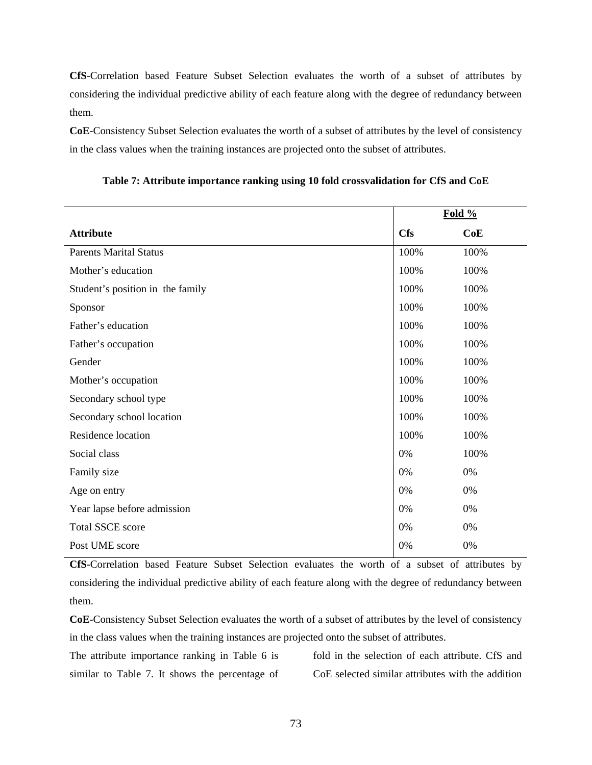**CfS**-Correlation based Feature Subset Selection evaluates the worth of a subset of attributes by considering the individual predictive ability of each feature along with the degree of redundancy between them.

**CoE**-Consistency Subset Selection evaluates the worth of a subset of attributes by the level of consistency in the class values when the training instances are projected onto the subset of attributes.

|                                  | Fold $%$   |      |
|----------------------------------|------------|------|
| <b>Attribute</b>                 | <b>Cfs</b> | CoE  |
| <b>Parents Marital Status</b>    | 100%       | 100% |
| Mother's education               | 100%       | 100% |
| Student's position in the family | 100%       | 100% |
| Sponsor                          | 100%       | 100% |
| Father's education               | 100%       | 100% |
| Father's occupation              | 100%       | 100% |
| Gender                           | 100%       | 100% |
| Mother's occupation              | 100%       | 100% |
| Secondary school type            | 100%       | 100% |
| Secondary school location        | 100%       | 100% |
| Residence location               | 100%       | 100% |
| Social class                     | 0%         | 100% |
| Family size                      | 0%         | 0%   |
| Age on entry                     | 0%         | 0%   |
| Year lapse before admission      | 0%         | 0%   |
| <b>Total SSCE score</b>          | 0%         | 0%   |
| Post UME score                   | 0%         | 0%   |

**Table 7: Attribute importance ranking using 10 fold crossvalidation for CfS and CoE** 

**CfS**-Correlation based Feature Subset Selection evaluates the worth of a subset of attributes by considering the individual predictive ability of each feature along with the degree of redundancy between them.

**CoE**-Consistency Subset Selection evaluates the worth of a subset of attributes by the level of consistency in the class values when the training instances are projected onto the subset of attributes.

The attribute importance ranking in Table 6 is similar to Table 7. It shows the percentage of

fold in the selection of each attribute. CfS and CoE selected similar attributes with the addition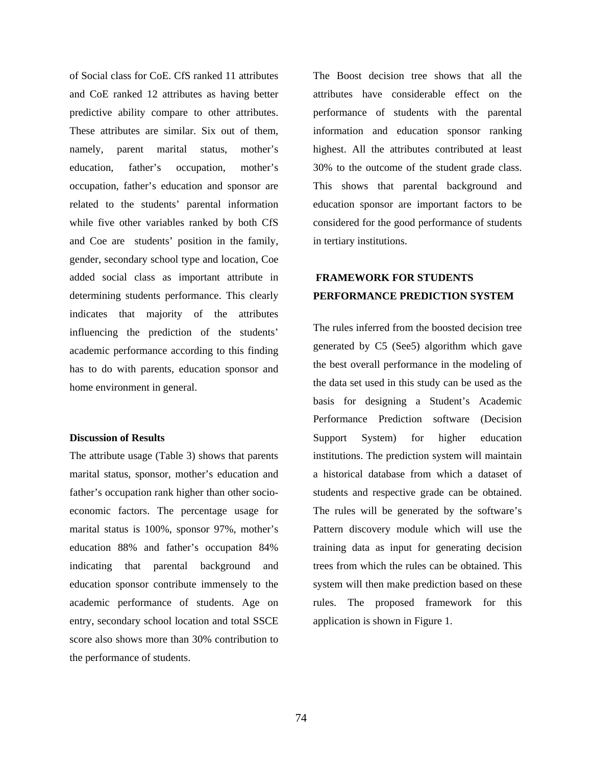of Social class for CoE. CfS ranked 11 attributes and CoE ranked 12 attributes as having better predictive ability compare to other attributes. These attributes are similar. Six out of them, namely, parent marital status, mother's education, father's occupation, mother's occupation, father's education and sponsor are related to the students' parental information while five other variables ranked by both CfS and Coe are students' position in the family, gender, secondary school type and location, Coe added social class as important attribute in determining students performance. This clearly indicates that majority of the attributes influencing the prediction of the students' academic performance according to this finding has to do with parents, education sponsor and home environment in general.

#### **Discussion of Results**

The attribute usage (Table 3) shows that parents marital status, sponsor, mother's education and father's occupation rank higher than other socioeconomic factors. The percentage usage for marital status is 100%, sponsor 97%, mother's education 88% and father's occupation 84% indicating that parental background and education sponsor contribute immensely to the academic performance of students. Age on entry, secondary school location and total SSCE score also shows more than 30% contribution to the performance of students.

The Boost decision tree shows that all the attributes have considerable effect on the performance of students with the parental information and education sponsor ranking highest. All the attributes contributed at least 30% to the outcome of the student grade class. This shows that parental background and education sponsor are important factors to be considered for the good performance of students in tertiary institutions.

#### **FRAMEWORK FOR STUDENTS PERFORMANCE PREDICTION SYSTEM**

The rules inferred from the boosted decision tree generated by C5 (See5) algorithm which gave the best overall performance in the modeling of the data set used in this study can be used as the basis for designing a Student's Academic Performance Prediction software (Decision Support System) for higher education institutions. The prediction system will maintain a historical database from which a dataset of students and respective grade can be obtained. The rules will be generated by the software's Pattern discovery module which will use the training data as input for generating decision trees from which the rules can be obtained. This system will then make prediction based on these rules. The proposed framework for this application is shown in Figure 1.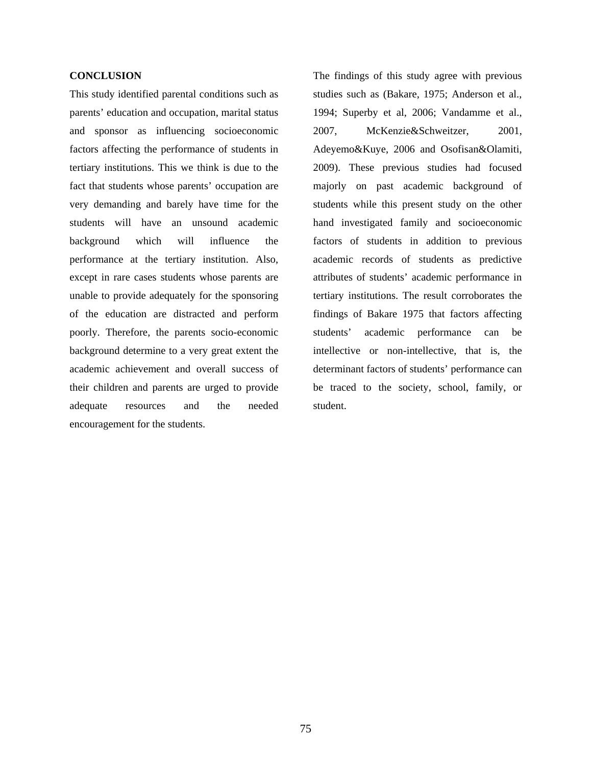#### **CONCLUSION**

This study identified parental conditions such as parents' education and occupation, marital status and sponsor as influencing socioeconomic factors affecting the performance of students in tertiary institutions. This we think is due to the fact that students whose parents' occupation are very demanding and barely have time for the students will have an unsound academic background which will influence the performance at the tertiary institution. Also, except in rare cases students whose parents are unable to provide adequately for the sponsoring of the education are distracted and perform poorly. Therefore, the parents socio-economic background determine to a very great extent the academic achievement and overall success of their children and parents are urged to provide adequate resources and the needed encouragement for the students.

The findings of this study agree with previous studies such as (Bakare, 1975; Anderson et al., 1994; Superby et al, 2006; Vandamme et al., 2007, McKenzie&Schweitzer, 2001, Adeyemo&Kuye, 2006 and Osofisan&Olamiti, 2009). These previous studies had focused majorly on past academic background of students while this present study on the other hand investigated family and socioeconomic factors of students in addition to previous academic records of students as predictive attributes of students' academic performance in tertiary institutions. The result corroborates the findings of Bakare 1975 that factors affecting students' academic performance can be intellective or non-intellective, that is, the determinant factors of students' performance can be traced to the society, school, family, or student.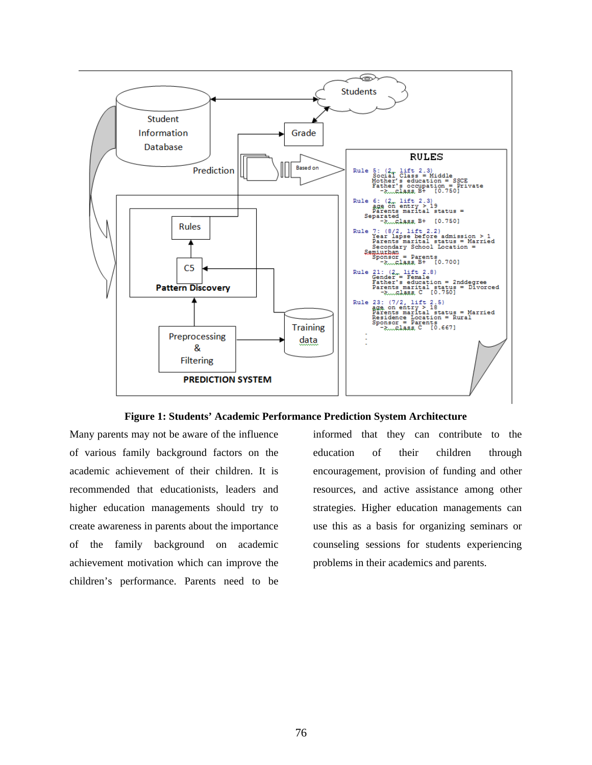

**Figure 1: Students' Academic Performance Prediction System Architecture**

Many parents may not be aware of the influence of various family background factors on the academic achievement of their children. It is recommended that educationists, leaders and higher education managements should try to create awareness in parents about the importance of the family background on academic achievement motivation which can improve the children's performance. Parents need to be

informed that they can contribute to the education of their children through encouragement, provision of funding and other resources, and active assistance among other strategies. Higher education managements can use this as a basis for organizing seminars or counseling sessions for students experiencing problems in their academics and parents.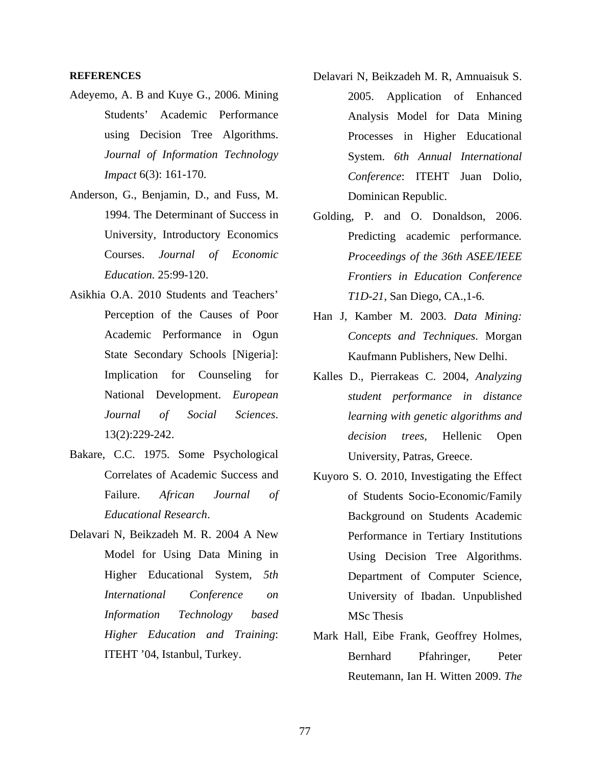#### **REFERENCES**

- Adeyemo, A. B and Kuye G., 2006. Mining Students' Academic Performance using Decision Tree Algorithms. *Journal of Information Technology Impact* 6(3): 161-170.
- Anderson, G., Benjamin, D., and Fuss, M. 1994. The Determinant of Success in University, Introductory Economics Courses. *Journal of Economic Education.* 25:99-120.
- Asikhia O.A. 2010 Students and Teachers' Perception of the Causes of Poor Academic Performance in Ogun State Secondary Schools [Nigeria]: Implication for Counseling for National Development. *European Journal of Social Sciences*. 13(2):229-242.
- Bakare, C.C. 1975. Some Psychological Correlates of Academic Success and Failure. *African Journal of Educational Research*.
- Delavari N, Beikzadeh M. R. 2004 A New Model for Using Data Mining in Higher Educational System*, 5th International Conference on Information Technology based Higher Education and Training*: ITEHT '04, Istanbul, Turkey.
- Delavari N, Beikzadeh M. R, Amnuaisuk S. 2005. Application of Enhanced Analysis Model for Data Mining Processes in Higher Educational System. *6th Annual International Conference*: ITEHT Juan Dolio, Dominican Republic.
- Golding, P. and O. Donaldson, 2006. Predicting academic performance*. Proceedings of the 36th ASEE/IEEE Frontiers in Education Conference T1D-21*, San Diego, CA.,1-6.
- Han J, Kamber M. 2003. *Data Mining: Concepts and Techniques*. Morgan Kaufmann Publishers, New Delhi.
- Kalles D., Pierrakeas C. 2004, *Analyzing student performance in distance learning with genetic algorithms and decision trees*, Hellenic Open University, Patras, Greece.
- Kuyoro S. O. 2010, Investigating the Effect of Students Socio-Economic/Family Background on Students Academic Performance in Tertiary Institutions Using Decision Tree Algorithms. Department of Computer Science, University of Ibadan. Unpublished MSc Thesis
- Mark Hall, Eibe Frank, Geoffrey Holmes, Bernhard Pfahringer, Peter Reutemann, Ian H. Witten 2009. *The*